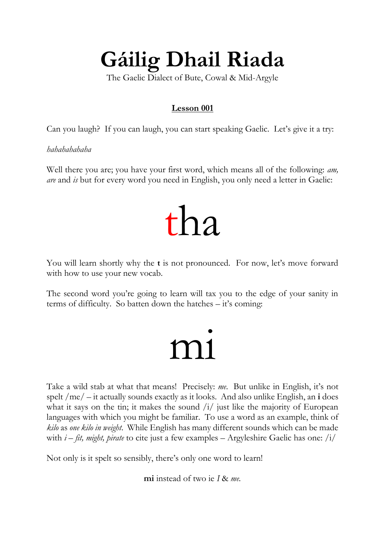### **Gáilig Dhail Riada**

The Gaelic Dialect of Bute, Cowal & Mid-Argyle

### **Lesson 001**

Can you laugh? If you can laugh, you can start speaking Gaelic. Let's give it a try:

*hahahahahaha*

Well there you are; you have your first word, which means all of the following: *am, are* and *is* but for every word you need in English, you only need a letter in Gaelic:

### tha

You will learn shortly why the **t** is not pronounced. For now, let's move forward with how to use your new vocab.

The second word you're going to learn will tax you to the edge of your sanity in terms of difficulty. So batten down the hatches – it's coming:

### mi

Take a wild stab at what that means! Precisely: *me*. But unlike in English, it's not spelt /me/ – it actually sounds exactly as it looks. And also unlike English, an **i** does what it says on the tin; it makes the sound  $\frac{1}{1}$  just like the majority of European languages with which you might be familiar. To use a word as an example, think of *kilo* as *one kilo in weight*. While English has many different sounds which can be made with *i* – *fit, might, pirate* to cite just a few examples – Argyleshire Gaelic has one: /i/

Not only is it spelt so sensibly, there's only one word to learn!

**mi** instead of two ie *I* & *me.*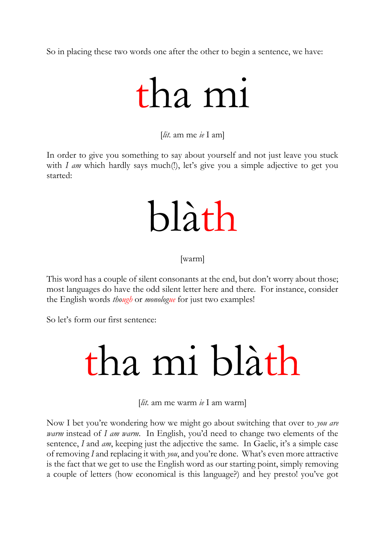So in placing these two words one after the other to begin a sentence, we have:

## tha mi

[*lit.* am me *ie* I am]

In order to give you something to say about yourself and not just leave you stuck with *I am* which hardly says much(!), let's give you a simple adjective to get you started:

## blàth

[warm]

This word has a couple of silent consonants at the end, but don't worry about those; most languages do have the odd silent letter here and there. For instance, consider the English words *though* or *monologue* for just two examples!

So let's form our first sentence:

## tha mi blàth

[*lit.* am me warm *ie* I am warm]

Now I bet you're wondering how we might go about switching that over to *you are warm* instead of *I am warm*. In English, you'd need to change two elements of the sentence, *I* and *am*, keeping just the adjective the same. In Gaelic, it's a simple case of removing *I* and replacing it with *you*, and you're done. What's even more attractive is the fact that we get to use the English word as our starting point, simply removing a couple of letters (how economical is this language?) and hey presto! you've got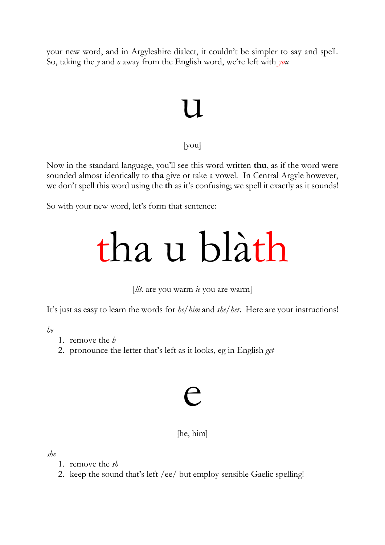your new word, and in Argyleshire dialect, it couldn't be simpler to say and spell. So, taking the *y* and *o* away from the English word, we're left with *you*

### l I

#### [you]

Now in the standard language, you'll see this word written **thu**, as if the word were sounded almost identically to **tha** give or take a vowel. In Central Argyle however, we don't spell this word using the **th** as it's confusing; we spell it exactly as it sounds!

So with your new word, let's form that sentence:

## tha u blàth

[*lit.* are you warm *ie* you are warm]

It's just as easy to learn the words for *he/him* and *she/her*. Here are your instructions!

*he*

- 1. remove the *h*
- 2. pronounce the letter that's left as it looks, eg in English *get*

# e

### [he, him]

*she*

- 1. remove the *sh*
- 2. keep the sound that's left /ee/ but employ sensible Gaelic spelling!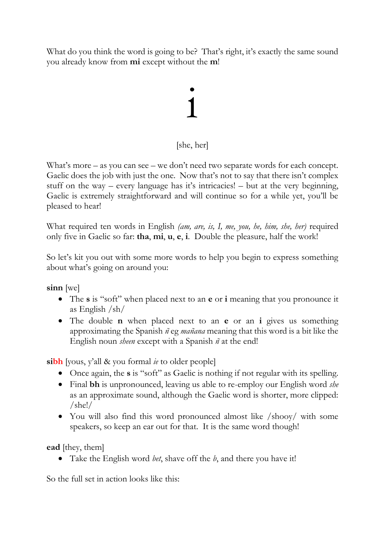What do you think the word is going to be? That's right, it's exactly the same sound you already know from **mi** except without the **m**!

# i<br>1

### [she, her]

What's more – as you can see – we don't need two separate words for each concept. Gaelic does the job with just the one. Now that's not to say that there isn't complex stuff on the way – every language has it's intricacies! – but at the very beginning, Gaelic is extremely straightforward and will continue so for a while yet, you'll be pleased to hear!

What required ten words in English *(am, are, is, I, me, you, he, him, she, her)* required only five in Gaelic so far: **tha**, **mi**, **u**, **e**, **i**. Double the pleasure, half the work!

So let's kit you out with some more words to help you begin to express something about what's going on around you:

**sinn** [we]

- The **s** is "soft" when placed next to an **e** or **i** meaning that you pronounce it as English /sh/
- The double **n** when placed next to an **e** or an **i** gives us something approximating the Spanish *ñ* eg *mañana* meaning that this word is a bit like the English noun *sheen* except with a Spanish *ñ* at the end!

**sibh** [yous, y'all & you formal *ie* to older people]

- Once again, the **s** is "soft" as Gaelic is nothing if not regular with its spelling.
- Final **bh** is unpronounced, leaving us able to re-employ our English word *she* as an approximate sound, although the Gaelic word is shorter, more clipped: /she!/
- You will also find this word pronounced almost like /shooy/ with some speakers, so keep an ear out for that. It is the same word though!

**ead** [they, them]

Take the English word *bet*, shave off the *b*, and there you have it!

So the full set in action looks like this: